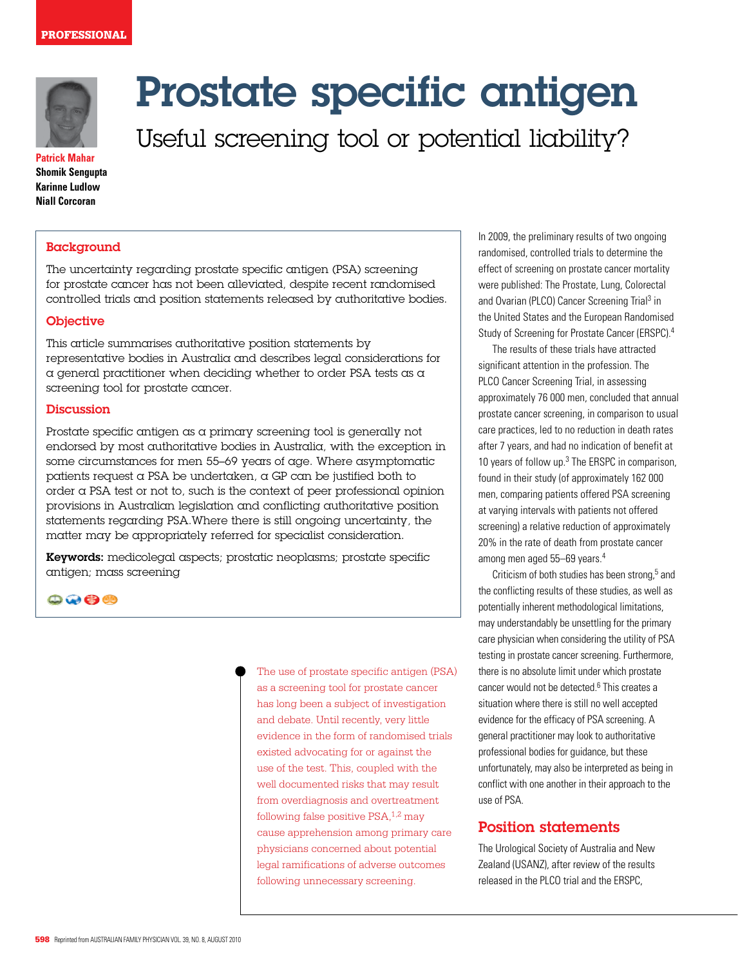

**Patrick Mahar Shomik Sengupta Karinne Ludlow Niall Corcoran**

## **Background**

The uncertainty regarding prostate specific antigen (PSA) screening for prostate cancer has not been alleviated, despite recent randomised controlled trials and position statements released by authoritative bodies.

#### **Objective**

This article summarises authoritative position statements by representative bodies in Australia and describes legal considerations for a general practitioner when deciding whether to order PSA tests as a screening tool for prostate cancer.

#### **Discussion**

Prostate specific antigen as a primary screening tool is generally not endorsed by most authoritative bodies in Australia, with the exception in some circumstances for men 55–69 years of age. Where asymptomatic patients request a PSA be undertaken,  $\alpha$  GP can be justified both to order a PSA test or not to, such is the context of peer professional opinion provisions in Australian legislation and conflicting authoritative position statements regarding PSA.Where there is still ongoing uncertainty, the matter may be appropriately referred for specialist consideration.

Keywords: medicolegal aspects; prostatic neoplasms; prostate specific antigen; mass screening

### $\mathbf{\odot} \mathbf{\odot} \mathbf{\odot} \mathbf{\odot}$

The use of prostate specific antigen (PSA) as a screening tool for prostate cancer has long been a subject of investigation and debate. Until recently, very little evidence in the form of randomised trials existed advocating for or against the use of the test. This, coupled with the well documented risks that may result from overdiagnosis and overtreatment following false positive  $PSA<sub>1,2</sub>$  may cause apprehension among primary care physicians concerned about potential legal ramifications of adverse outcomes following unnecessary screening.

In 2009, the preliminary results of two ongoing randomised, controlled trials to determine the effect of screening on prostate cancer mortality were published: The Prostate, Lung, Colorectal and Ovarian (PLCO) Cancer Screening Trial<sup>3</sup> in the United States and the European Randomised Study of Screening for Prostate Cancer (ERSPC).4

The results of these trials have attracted significant attention in the profession. The PLCO Cancer Screening Trial, in assessing approximately 76 000 men, concluded that annual prostate cancer screening, in comparison to usual care practices, led to no reduction in death rates after 7 years, and had no indication of benefit at 10 years of follow up.<sup>3</sup> The ERSPC in comparison, found in their study (of approximately 162 000 men, comparing patients offered PSA screening at varying intervals with patients not offered screening) a relative reduction of approximately 20% in the rate of death from prostate cancer among men aged 55–69 years.4

Criticism of both studies has been strong,<sup>5</sup> and the conflicting results of these studies, as well as potentially inherent methodological limitations, may understandably be unsettling for the primary care physician when considering the utility of PSA testing in prostate cancer screening. Furthermore, there is no absolute limit under which prostate cancer would not be detected.<sup>6</sup> This creates a situation where there is still no well accepted evidence for the efficacy of PSA screening. A general practitioner may look to authoritative professional bodies for guidance, but these unfortunately, may also be interpreted as being in conflict with one another in their approach to the use of PSA.

## Position statements

The Urological Society of Australia and New Zealand (USANZ), after review of the results released in the PLCO trial and the ERSPC,

# Prostate specific antigen

Useful screening tool or potential liability?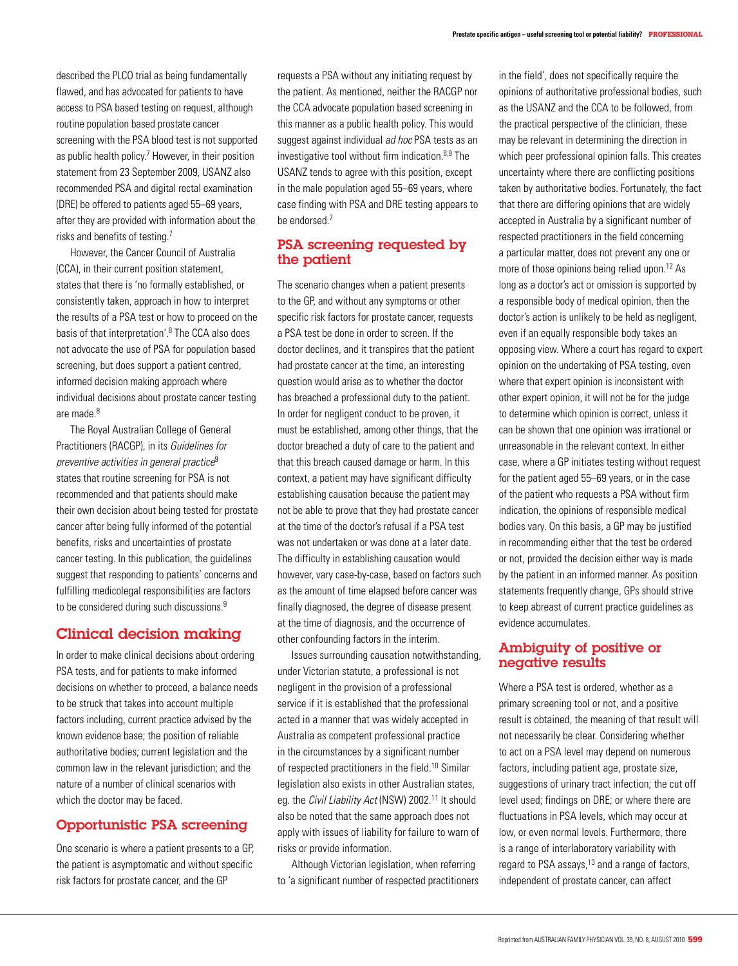described the PLCO trial as being fundamentally flawed, and has advocated for patients to have access to PSA based testing on request, although routine population based prostate cancer screening with the PSA blood test is not supported as public health policy.<sup>7</sup> However, in their position statement from 23 September 2009, USANZ also recommended PSA and digital rectal examination (DRE) be offered to patients aged 55–69 years, after they are provided with information about the risks and benefits of testing.7

 However, the Cancer Council of Australia (CCA), in their current position statement, states that there is 'no formally established, or consistently taken, approach in how to interpret the results of a PSA test or how to proceed on the basis of that interpretation'.8 The CCA also does not advocate the use of PSA for population based screening, but does support a patient centred, informed decision making approach where individual decisions about prostate cancer testing are made.<sup>8</sup>

The Royal Australian College of General Practitioners (RACGP), in its Guidelines for preventive activities in general practice $9$ states that routine screening for PSA is not recommended and that patients should make their own decision about being tested for prostate cancer after being fully informed of the potential benefits, risks and uncertainties of prostate cancer testing. In this publication, the guidelines suggest that responding to patients' concerns and fulfilling medicolegal responsibilities are factors to be considered during such discussions.<sup>9</sup>

# Clinical decision making

In order to make clinical decisions about ordering PSA tests, and for patients to make informed decisions on whether to proceed, a balance needs to be struck that takes into account multiple factors including, current practice advised by the known evidence base; the position of reliable authoritative bodies; current legislation and the common law in the relevant jurisdiction; and the nature of a number of clinical scenarios with which the doctor may be faced.

## Opportunistic PSA screening

One scenario is where a patient presents to a GP, the patient is asymptomatic and without specific risk factors for prostate cancer, and the GP

requests a PSA without any initiating request by the patient. As mentioned, neither the RACGP nor the CCA advocate population based screening in this manner as a public health policy. This would suggest against individual *ad hoc* PSA tests as an investigative tool without firm indication.8,9 The USANZ tends to agree with this position, except in the male population aged 55–69 years, where case finding with PSA and DRE testing appears to be endorsed.7

## PSA screening requested by the patient

The scenario changes when a patient presents to the GP, and without any symptoms or other specific risk factors for prostate cancer, requests a PSA test be done in order to screen. If the doctor declines, and it transpires that the patient had prostate cancer at the time, an interesting question would arise as to whether the doctor has breached a professional duty to the patient. In order for negligent conduct to be proven, it must be established, among other things, that the doctor breached a duty of care to the patient and that this breach caused damage or harm. In this context, a patient may have significant difficulty establishing causation because the patient may not be able to prove that they had prostate cancer at the time of the doctor's refusal if a PSA test was not undertaken or was done at a later date. The difficulty in establishing causation would however, vary case-by-case, based on factors such as the amount of time elapsed before cancer was finally diagnosed, the degree of disease present at the time of diagnosis, and the occurrence of other confounding factors in the interim.

Issues surrounding causation notwithstanding, under Victorian statute, a professional is not negligent in the provision of a professional service if it is established that the professional acted in a manner that was widely accepted in Australia as competent professional practice in the circumstances by a significant number of respected practitioners in the field.10 Similar legislation also exists in other Australian states, eg. the Civil Liability Act (NSW) 2002.<sup>11</sup> It should also be noted that the same approach does not apply with issues of liability for failure to warn of risks or provide information.

Although Victorian legislation, when referring to 'a significant number of respected practitioners in the field', does not specifically require the opinions of authoritative professional bodies, such as the USANZ and the CCA to be followed, from the practical perspective of the clinician, these may be relevant in determining the direction in which peer professional opinion falls. This creates uncertainty where there are conflicting positions taken by authoritative bodies. Fortunately, the fact that there are differing opinions that are widely accepted in Australia by a significant number of respected practitioners in the field concerning a particular matter, does not prevent any one or more of those opinions being relied upon.<sup>12</sup> As long as a doctor's act or omission is supported by a responsible body of medical opinion, then the doctor's action is unlikely to be held as negligent, even if an equally responsible body takes an opposing view. Where a court has regard to expert opinion on the undertaking of PSA testing, even where that expert opinion is inconsistent with other expert opinion, it will not be for the judge to determine which opinion is correct, unless it can be shown that one opinion was irrational or unreasonable in the relevant context. In either case, where a GP initiates testing without request for the patient aged 55–69 years, or in the case of the patient who requests a PSA without firm indication, the opinions of responsible medical bodies vary. On this basis, a GP may be justified in recommending either that the test be ordered or not, provided the decision either way is made by the patient in an informed manner. As position statements frequently change, GPs should strive to keep abreast of current practice guidelines as evidence accumulates.

## Ambiguity of positive or negative results

Where a PSA test is ordered, whether as a primary screening tool or not, and a positive result is obtained, the meaning of that result will not necessarily be clear. Considering whether to act on a PSA level may depend on numerous factors, including patient age, prostate size, suggestions of urinary tract infection; the cut off level used; findings on DRE; or where there are fluctuations in PSA levels, which may occur at low, or even normal levels. Furthermore, there is a range of interlaboratory variability with regard to PSA assays,<sup>13</sup> and a range of factors, independent of prostate cancer, can affect